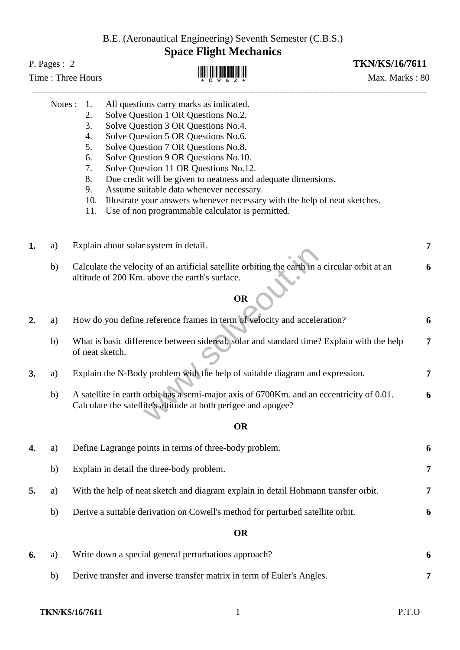B.E. (Aeronautical Engineering) Seventh Semester (C.B.S.)

## **Space Flight Mechanics**

## P. Pages : 2 **TKN/KS/16/7611**

- 4. Solve Question 5 OR Questions No.6.
- 5. Solve Question 7 OR Questions No.8.
- 6. Solve Question 9 OR Questions No.10.
- 7. Solve Question 11 OR Questions No.12.
- 8. Due credit will be given to neatness and adequate dimensions.
- 9. Assume suitable data whenever necessary.
- 10. Illustrate your answers whenever necessary with the help of neat sketches.
- 11. Use of non programmable calculator is permitted.
- **1.** a) Explain about solar system in detail. **7**
	- b) Calculate the velocity of an artificial satellite orbiting the earth in a circular orbit at an altitude of 200 Km. above the earth's surface. **6**

## **OR**

|    |    | ежранн абоат вона вузгені ні астан.                                                                                                                           |                |
|----|----|---------------------------------------------------------------------------------------------------------------------------------------------------------------|----------------|
|    | b) | Calculate the velocity of an artificial satellite orbiting the earth in a circular orbit at an<br>altitude of 200 Km. above the earth's surface.<br><b>OR</b> | 6              |
| 2. | a) | How do you define reference frames in term of velocity and acceleration?                                                                                      | 6              |
|    | b) | What is basic difference between sidereal, solar and standard time? Explain with the help<br>of neat sketch.                                                  | $\overline{7}$ |
| 3. | a) | Explain the N-Body problem with the help of suitable diagram and expression.                                                                                  | 7              |
|    | b) | A satellite in earth orbit has a semi-major axis of 6700Km. and an eccentricity of 0.01.<br>Calculate the satellite's altitude at both perigee and apogee?    | 6              |
|    |    | <b>OR</b>                                                                                                                                                     |                |
| 4. | a) | Define Lagrange points in terms of three-body problem.                                                                                                        | 6              |
|    | b) | Explain in detail the three-body problem.                                                                                                                     | 7              |
| 5. | a) | With the help of neat sketch and diagram explain in detail Hohmann transfer orbit.                                                                            | $\overline{7}$ |
|    | b) | Derive a suitable derivation on Cowell's method for perturbed satellite orbit.                                                                                | 6              |
|    |    | <b>OR</b>                                                                                                                                                     |                |
| 6. | a) | Write down a special general perturbations approach?                                                                                                          | 6              |

b) Derive transfer and inverse transfer matrix in term of Euler's Angles. **7**